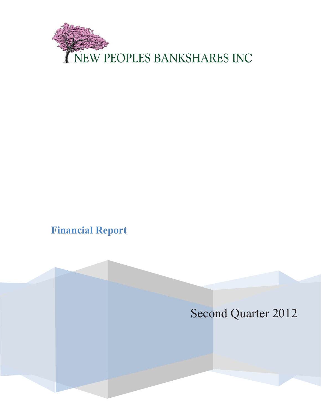

# **Financial Report**

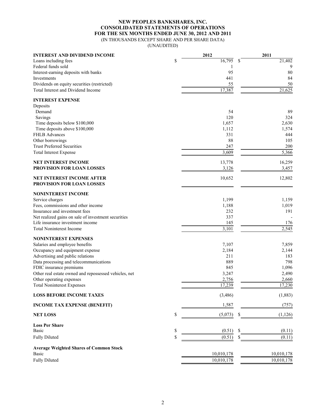## **NEW PEOPLES BANKSHARES, INC. CONSOLIDATED STATEMENTS OF OPERATIONS FOR THE SIX MONTHS ENDED JUNE 30, 2012 AND 2011** (IN THOUSANDS EXCEPT SHARE AND PER SHARE DATA)

(UNAUDITED)

| <b>INTEREST AND DIVIDEND INCOME</b>                                                     | 2012          | 2011                      |
|-----------------------------------------------------------------------------------------|---------------|---------------------------|
| Loans including fees                                                                    | \$<br>16,795  | $\overline{2}1,402$<br>\$ |
| Federal funds sold                                                                      | 1             | 9                         |
| Interest-earning deposits with banks                                                    | 95            | 80                        |
| Investments                                                                             | 441           | 84                        |
| Dividends on equity securities (restricted)                                             | 55            | 50                        |
| Total Interest and Dividend Income                                                      | 17,387        | 21,625                    |
| <b>INTEREST EXPENSE</b>                                                                 |               |                           |
| Deposits                                                                                |               |                           |
| Demand                                                                                  | 54            | 89                        |
| Savings                                                                                 | 120           | 324                       |
| Time deposits below \$100,000                                                           | 1,657         | 2,630                     |
| Time deposits above \$100,000                                                           | 1,112         | 1,574                     |
| <b>FHLB</b> Advances                                                                    | 331           | 444                       |
| Other borrowings                                                                        | 88            | 105                       |
| <b>Trust Preferred Securities</b>                                                       | 247           | 200                       |
| <b>Total Interest Expense</b>                                                           | 3,609         | 5,366                     |
| <b>NET INTEREST INCOME</b>                                                              | 13,778        | 16,259                    |
| PROVISION FOR LOAN LOSSES                                                               | 3,126         | 3,457                     |
| NET INTEREST INCOME AFTER<br>PROVISION FOR LOAN LOSSES                                  | 10,652        | 12,802                    |
| <b>NONINTEREST INCOME</b>                                                               |               |                           |
|                                                                                         | 1,199         |                           |
| Service charges<br>Fees, commissions and other income                                   | 1,188         | 1,159<br>1,019            |
| Insurance and investment fees                                                           | 232           | 191                       |
|                                                                                         | 337           |                           |
| Net realized gains on sale of investment securities<br>Life insurance investment income | 145           | 176                       |
| <b>Total Noninterest Income</b>                                                         | 3,101         | 2,545                     |
|                                                                                         |               |                           |
| <b>NONINTEREST EXPENSES</b>                                                             |               |                           |
| Salaries and employee benefits                                                          | 7,107         | 7,859                     |
| Occupancy and equipment expense                                                         | 2,184         | 2,144                     |
| Advertising and public relations                                                        | 211           | 183                       |
| Data processing and telecommunications                                                  | 889           | 798                       |
| FDIC insurance premiums                                                                 | 845           | 1,096                     |
| Other real estate owned and repossessed vehicles, net                                   | 3,247         | 2,490                     |
| Other operating expenses                                                                | 2,756         | 2,660                     |
| <b>Total Noninterest Expenses</b>                                                       | 17,239        | 17,230                    |
| <b>LOSS BEFORE INCOME TAXES</b>                                                         | (3, 486)      | (1,883)                   |
| <b>INCOME TAX EXPENSE (BENEFIT)</b>                                                     | 1,587         | (757)                     |
| <b>NET LOSS</b>                                                                         | \$<br>(5,073) | (1, 126)                  |
| <b>Loss Per Share</b>                                                                   |               |                           |
| Basic                                                                                   | \$<br>(0.51)  | \$<br>(0.11)              |
| <b>Fully Diluted</b>                                                                    | \$<br>(0.51)  | (0.11)<br>S               |
| <b>Average Weighted Shares of Common Stock</b>                                          |               |                           |
| <b>Basic</b>                                                                            | 10,010,178    | 10,010,178                |
| <b>Fully Diluted</b>                                                                    | 10,010,178    | 10,010,178                |
|                                                                                         |               |                           |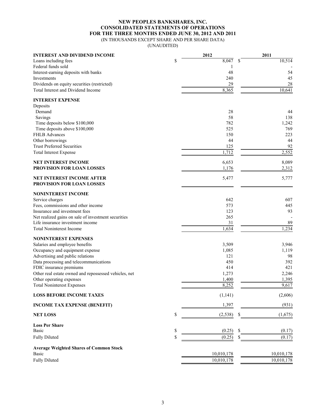## **NEW PEOPLES BANKSHARES, INC. CONSOLIDATED STATEMENTS OF OPERATIONS FOR THE THREE MONTHS ENDED JUNE 30, 2012 AND 2011** (IN THOUSANDS EXCEPT SHARE AND PER SHARE DATA)

(UNAUDITED)

| <b>INTEREST AND DIVIDEND INCOME</b>                   | 2012           | 2011         |
|-------------------------------------------------------|----------------|--------------|
| Loans including fees                                  | \$<br>8,047    | 10,514<br>\$ |
| Federal funds sold                                    |                |              |
| Interest-earning deposits with banks                  | 48             | 54           |
| Investments                                           | 240            | 45           |
| Dividends on equity securities (restricted)           | 29             | 28           |
| Total Interest and Dividend Income                    | 8,365          | 10,641       |
| <b>INTEREST EXPENSE</b>                               |                |              |
| Deposits                                              |                |              |
| Demand                                                | 28             | 44           |
| Savings                                               | 58             | 138          |
| Time deposits below \$100,000                         | 782            | 1,242        |
| Time deposits above \$100,000                         | 525            | 769          |
| <b>FHLB Advances</b>                                  | 150            | 223          |
| Other borrowings                                      | 44             | 44           |
| <b>Trust Preferred Securities</b>                     | 125            | 92           |
| <b>Total Interest Expense</b>                         | 1,712          | 2,552        |
| <b>NET INTEREST INCOME</b>                            | 6,653          | 8,089        |
| PROVISION FOR LOAN LOSSES                             | 1,176          | 2,312        |
| <b>NET INTEREST INCOME AFTER</b>                      | 5,477          | 5,777        |
| PROVISION FOR LOAN LOSSES                             |                |              |
| <b>NONINTEREST INCOME</b>                             |                |              |
| Service charges                                       | 642            | 607          |
| Fees, commissions and other income                    | 573            | 445          |
| Insurance and investment fees                         | 123            | 93           |
| Net realized gains on sale of investment securities   | 265            |              |
| Life insurance investment income                      | 31             | 89           |
| <b>Total Noninterest Income</b>                       | 1,634          | 1,234        |
| <b>NONINTEREST EXPENSES</b>                           |                |              |
| Salaries and employee benefits                        | 3,509          | 3,946        |
| Occupancy and equipment expense                       | 1,085          | 1,119        |
| Advertising and public relations                      | 121            | 98           |
| Data processing and telecommunications                | 450            | 392          |
| FDIC insurance premiums                               | 414            | 421          |
| Other real estate owned and repossessed vehicles, net | 1,273          | 2,246        |
| Other operating expenses                              | 1,400          | 1,395        |
| <b>Total Noninterest Expenses</b>                     | 8,252          | 9,617        |
| <b>LOSS BEFORE INCOME TAXES</b>                       | (1, 141)       | (2,606)      |
| <b>INCOME TAX EXPENSE (BENEFIT)</b>                   | 1,397          | (931)        |
| <b>NET LOSS</b>                                       | \$<br>(2, 538) | (1,675)<br>S |
| <b>Loss Per Share</b>                                 |                |              |
| <b>Basic</b>                                          | \$<br>(0.25)   | \$<br>(0.17) |
| <b>Fully Diluted</b>                                  | \$<br>(0.25)   | \$<br>(0.17) |
| <b>Average Weighted Shares of Common Stock</b>        |                |              |
| Basic                                                 | 10,010,178     | 10,010,178   |
| <b>Fully Diluted</b>                                  | 10,010,178     | 10,010,178   |
|                                                       |                |              |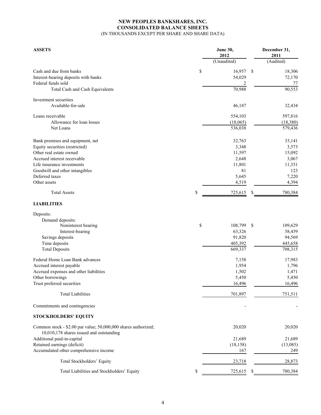# **NEW PEOPLES BANKSHARES, INC. CONSOLIDATED BALANCE SHEETS** (IN THOUSANDS EXCEPT PER SHARE AND SHARE DATA)

| <b>ASSETS</b>                                                  | June 30,<br>2012 |             | December 31,<br>2011 |           |
|----------------------------------------------------------------|------------------|-------------|----------------------|-----------|
|                                                                |                  | (Unaudited) |                      | (Audited) |
| Cash and due from banks                                        | \$               | 16,957      | $\mathbb{S}$         | 18,306    |
| Interest-bearing deposits with banks                           |                  | 54,029      |                      | 72,170    |
| Federal funds sold                                             |                  | 2           |                      | 77        |
| Total Cash and Cash Equivalents                                |                  | 70,988      |                      | 90,553    |
| Investment securities                                          |                  |             |                      |           |
| Available-for-sale                                             |                  | 46,187      |                      | 32,434    |
| Loans receivable                                               |                  | 554,103     |                      | 597,816   |
| Allowance for loan losses                                      |                  | (18,065)    |                      | (18,380)  |
| Net Loans                                                      |                  | 536,038     |                      | 579,436   |
| Bank premises and equipment, net                               |                  | 32,763      |                      | 33,141    |
| Equity securities (restricted)                                 |                  | 3,348       |                      | 3,573     |
| Other real estate owned                                        |                  | 11,597      |                      | 15,092    |
| Accrued interest receivable                                    |                  | 2,648       |                      | 3,067     |
| Life insurance investments                                     |                  | 11,801      |                      | 11,351    |
| Goodwill and other intangibles                                 |                  | 81          |                      | 123       |
| Deferred taxes                                                 |                  | 5,645       |                      | 7,220     |
| Other assets                                                   |                  | 4,519       |                      | 4,394     |
| <b>Total Assets</b>                                            | \$               | 725,615     | \$                   | 780,384   |
| <b>LIABILITIES</b>                                             |                  |             |                      |           |
| Deposits:                                                      |                  |             |                      |           |
| Demand deposits:                                               |                  |             |                      |           |
| Noninterest bearing                                            | \$               | 108,799     | - \$                 | 109,629   |
| Interest-bearing                                               |                  | 63,326      |                      | 58,459    |
| Savings deposits                                               |                  | 91,820      |                      | 94,569    |
| Time deposits                                                  |                  | 405,392     |                      | 445,658   |
| <b>Total Deposits</b>                                          |                  | 669,337     |                      | 708,315   |
| Federal Home Loan Bank advances                                |                  | 7,158       |                      | 17,983    |
| Accrued interest payable                                       |                  | 1,954       |                      | 1,796     |
| Accrued expenses and other liabilities                         |                  | 1,502       |                      | 1,471     |
| Other borrowings                                               |                  | 5,450       |                      | 5,450     |
| Trust preferred securities                                     |                  | 16,496      |                      | 16,496    |
| <b>Total Liabilities</b>                                       |                  | 701,897     |                      | 751,511   |
| Commitments and contingencies                                  |                  |             |                      |           |
| <b>STOCKHOLDERS' EQUITY</b>                                    |                  |             |                      |           |
| Common stock - \$2.00 par value; 50,000,000 shares authorized; |                  | 20,020      |                      | 20,020    |
| 10,010,178 shares issued and outstanding                       |                  |             |                      |           |
| Additional paid-in-capital                                     |                  | 21,689      |                      | 21,689    |
| Retained earnings (deficit)                                    |                  | (18, 158)   |                      | (13,085)  |
| Accumulated other comprehensive income                         |                  | 167         |                      | 249       |
| Total Stockholders' Equity                                     |                  | 23,718      |                      | 28,873    |
| Total Liabilities and Stockholders' Equity                     | \$               | 725,615     | \$                   | 780,384   |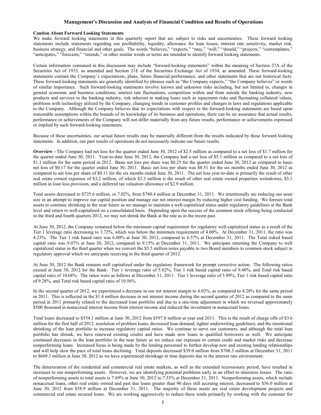#### **Management's Discussion and Analysis of Financial Condition and Results of Operations**

#### **Caution About Forward Looking Statements**

We make forward looking statements in this quarterly report that are subject to risks and uncertainties. These forward looking statements include statements regarding our profitability, liquidity, allowance for loan losses, interest rate sensitivity, market risk, business strategy, and financial and other goals. The words "believes," "expects," "may," "will," "should," "projects," "contemplates," "anticipates," "forecasts," "intends," or other similar words or terms are intended to identify forward looking statements.

Certain information contained in this discussion may include "forward-looking statements" within the meaning of Section 27A of the Securities Act of 1933, as amended and Section 21E of the Securities Exchange Act of 1934, as amended. These forward-looking statements contain the Company's expectations, plans, future financial performance, and other statements that are not historical facts. These forward-looking statements are generally identified by phrases such as "the Company expects," "the Company believes" or words of similar importance. Such forward-looking statements involve known and unknown risks including, but not limited to, changes in general economic and business conditions, interest rate fluctuations, competition within and from outside the banking industry, new products and services in the banking industry, risk inherent in making loans such as repayment risks and fluctuating collateral values, problems with technology utilized by the Company, changing trends in customer profiles and changes in laws and regulations applicable to the Company. Although the Company believes that its expectations with respect to the forward-looking statements are based upon reasonable assumptions within the bounds of its knowledge of its business and operations, there can be no assurance that actual results, performance or achievements of the Company will not differ materially from any future results, performance or achievements expressed or implied by such forward-looking statements.

Because of these uncertainties, our actual future results may be materially different from the results indicated by these forward looking statements. In addition, our past results of operations do not necessarily indicate our future results.

**Overview -** The Company had net loss for the quarter ended June 30, 2012 of \$2.5 million as compared to a net loss of \$1.7 million for the quarter ended June 30, 2011. Year-to-date June 30, 2012, the Company had a net loss of \$5.1 million as compared to a net loss of \$1.1 million for the same period in 2012. Basic net loss per share was \$0.25 for the quarter ended June 30, 2012 as compared to basic net loss of \$0.17 for the quarter ended June 30, 2011. Basic net loss per share was \$0.51 for the six months ended June 30, 2012 as compared to net loss per share of \$0.11 for the six months ended June 30, 2011. The net loss year-to-date is primarily the result of other real estate owned expenses of \$3.2 million, of which \$2.3 million is the result of other real estate owned properties writedowns, \$3.1 million in loan loss provision, and a deferred tax valuation allowance of \$2.9 million.

Total assets decreased to \$725.6 million, or 7.02%, from \$780.4 million at December 31, 2011. We intentionally are reducing our asset size in an attempt to improve our capital position and manage our net interest margin by reducing higher cost funding. We foresee total assets to continue shrinking in the near future as we manage to maintain a well-capitalized status under regulatory guidelines at the Bank level and return to well-capitalized on a consolidated basis. Depending upon the success of the common stock offering being conducted in the third and fourth quarters 2012, we may not shrink the Bank at the rate as in the recent past.

At June 30, 2012, the Company remained below the minimum capital requirement for regulatory well-capitalized status as a result of the Tier 1 leverage ratio decreasing to 3.72%, which was below the minimum requirement of 4.00%. At December 31, 2011, the ratio was 4.23%. The Tier 1 risk based ratio was 6.00% at June 30, 2012, compared to 6.57% at December 31, 2011. The Total risked based capital ratio was 9.07% at June 30, 2012, compared to 9.15% at December 31, 2011. We anticipate returning the Company to well capitalized status in the third quarter when we convert the \$5.5 million notes payable to two Board members to common stock subject to regulatory approval which we anticipate receiving in the third quarter of 2012.

At June 30, 2012 the Bank remains well capitalized under the regulatory framework for prompt corrective action. The following ratios existed at June 30, 2012 for the Bank: Tier 1 leverage ratio of 5.82%, Tier 1 risk based capital ratio of 9.40%, and Total risk based capital ratio of 10.68%. The ratios were as follows at December 31, 2011: Tier 1 leverage ratio of 5.99%, Tier 1 risk based capital ratio of 9.28%, and Total risk based capital ratio of 10.56%.

In the second quarter of 2012, we experienced a decrease in our net interest margin to 4.02%, as compared to 4.28% for the same period in 2011. This is reflected in the \$1.4 million decrease in net interest income during the second quarter of 2012 as compared to the same period in 2011 primarily related to the decreased loan portfolio and due to a one-time adjustment in which we reversed approximately \$500 thousand in nonaccrual interest income from interest income and reduced the investment in nonaccrual loans.

Total loans decreased to \$554.1 million at June 30, 2012 from \$597.8 million at year end 2011. This is the result of charge offs of \$3.6 million for the first half of 2012, resolution of problem loans, decreased loan demand, tighter underwriting guidelines, and the intentional shrinking of the loan portfolio to increase regulatory capital ratios. We continue to serve our customers, and although the total loan portfolio has shrunk, we have renewed existing credits and have made new loans to qualified borrowers as well. We anticipate continued decreases in the loan portfolio in the near future as we reduce our exposure to certain credit and market risks and decrease nonperforming loans. Increased focus is being made by the lending personnel to further develop new and existing lending relationships and will help slow the pace of total loans declining. Total deposits decreased \$39.0 million from \$708.3 million at December 31, 2011 to \$669.3 million at June 30, 2012 as we have experienced shrinkage in time deposits due to the interest rate environment.

The deterioration of the residential and commercial real estate markets, as well as the extended recessionary period, have resulted in increases to our nonperforming assets. However, we are identifying potential problems early in an effort to minimize losses. The ratio of nonperforming assets to total assets is 7.69% at June 30, 2012 to 7.55% at December 31, 2011. Nonperforming assets, which include nonaccrual loans, other real estate owned and past due loans greater than 90 days still accruing interest, decreased to \$56.0 million at June 30, 2012 from \$58.9 million at December 31, 2011. The majority of these assets are real estate development projects and commercial real estate secured loans. We are working aggressively to reduce these totals primarily by working with the customer for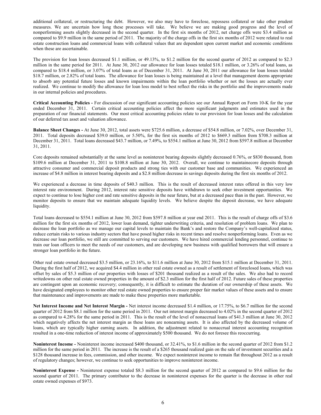additional collateral, or restructuring the debt. However, we also may have to foreclose, repossess collateral or take other prudent measures. We are uncertain how long these processes will take. We believe we are making good progress and the level of nonperforming assets slightly decreased in the second quarter. In the first six months of 2012, net charge offs were \$3.4 million as compared to \$9.9 million in the same period of 2011. The majority of the charge offs in the first six months of 2012 were related to real estate construction loans and commercial loans with collateral values that are dependent upon current market and economic conditions when these are ascertainable.

The provision for loan losses decreased \$1.1 million, or 49.13%, to \$1.2 million for the second quarter of 2012 as compared to \$2.3 million in the same period for 2011. At June 30, 2012 our allowance for loan losses totaled \$18.1 million, or 3.26% of total loans, as compared to \$18.4 million, or 3.07% of total loans as of December 31, 2011. At June 30, 2011 our allowance for loan losses totaled \$18.7 million, or 2.82% of total loans. The allowance for loan losses is being maintained at a level that management deems appropriate to absorb any potential future losses and known impairments within the loan portfolio whether or not the losses are actually ever realized. We continue to modify the allowance for loan loss model to best reflect the risks in the portfolio and the improvements made in our internal policies and procedures.

**Critical Accounting Policies -** For discussion of our significant accounting policies see our Annual Report on Form 10-K for the year ended December 31, 2011. Certain critical accounting policies affect the more significant judgments and estimates used in the preparation of our financial statements. Our most critical accounting policies relate to our provision for loan losses and the calculation of our deferred tax asset and valuation allowance.

**Balance Sheet Changes -** At June 30, 2012, total assets were \$725.6 million, a decrease of \$54.8 million, or 7.02%, over December 31, 2011. Total deposits decreased \$39.0 million, or 5.50%, for the first six months of 2012 to \$669.3 million from \$708.3 million at December 31, 2011. Total loans decreased \$43.7 million, or 7.49%, to \$554.1 million at June 30, 2012 from \$597.8 million at December 31, 2011.

Core deposits remained substantially at the same level as noninterest bearing deposits slightly decreased 0.76%, or \$830 thousand, from \$109.6 million at December 31, 2011 to \$108.8 million at June 30, 2012. Overall, we continue to maintainecore deposits through attractive consumer and commercial deposit products and strong ties with our customer base and communities. We experienced an increase of \$4.8 million in interest bearing deposits and a \$2.8 million decrease in savings deposits during the first six months of 2012.

We experienced a decrease in time deposits of \$40.3 million. This is the result of decreased interest rates offered in this very low interest rate environment. During 2012, interest rate sensitive deposits have withdrawn to seek other investment opportunities. We expect to continue to lose higher cost and rate sensitive deposits in the near future, but at a decreased pace than in the past. However, we monitor deposits to ensure that we maintain adequate liquidity levels. We believe despite the deposit decrease, we have adequate liquidity.

Total loans decreased to \$554.1 million at June 30, 2012 from \$597.8 million at year end 2011. This is the result of charge offs of \$3.6 million for the first six months of 2012, lower loan demand, tighter underwriting criteria, and resolution of problem loans. We plan to decrease the loan portfolio as we manage our capital levels to maintain the Bank's and restore the Company's well-capitalized status, reduce certain risks to various industry sectors that have posed higher risks in recent times and resolve nonperforming loans. Even as we decrease our loan portfolio, we still are committed to serving our customers. We have hired commercial lending personnel, continue to train our loan officers to meet the needs of our customers, and are developing new business with qualified borrowers that will ensure a stronger loan portfolio in the future.

Other real estate owned decreased \$3.5 million, or 23.16%, to \$11.6 million at June 30, 2012 from \$15.1 million at December 31, 2011. During the first half of 2012, we acquired \$4.4 million in other real estate owned as a result of settlement of foreclosed loans, which was offset by sales of \$5.3 million of our properties with losses of \$201 thousand realized as a result of the sales. We also had to record writedowns on other real estate owned properties in the amount of \$2.3 million for the first half of 2012. Future sales of these properties are contingent upon an economic recovery; consequently, it is difficult to estimate the duration of our ownership of these assets. We have designated employees to monitor other real estate owned properties to ensure proper fair market values of these assets and to ensure that maintenance and improvements are made to make these properties more marketable.

**Net Interest Income and Net Interest Margin -** Net interest income decreased \$1.4 million, or 17.75%, to \$6.7 million for the second quarter of 2012 from \$8.1 million for the same period in 2011. Our net interest margin decreased to 4.02% in the second quarter of 2012 as compared to 4.28% for the same period in 2011. This is the result of the level of nonaccrual loans of \$41.3 million at June 30, 2012 which negatively affects the net interest margin as these loans are nonearning assets. It is also affected by the decreased volume of loans, which are typically higher earning assets. In addition, the adjustment related to nonaccrual interest accounting recognition resulted in a one-time reduction of interest income of approximately \$500 thousand. We do not foresee this reoccurring.

**Noninterest Income -** Noninterest income increased \$400 thousand, or 32.41%, to \$1.6 million in the second quarter of 2012 from \$1.2 million for the same period in 2011. The increase is the result of a \$265 thousand realized gain on the sale of investment securities and a \$128 thousand increase in fees, commission, and other income. We expect noninterest income to remain flat throughout 2012 as a result of regulatory changes; however, we continue to seek opportunities to improve noninterest income.

**Noninterest Expense -** Noninterest expense totaled \$8.3 million for the second quarter of 2012 as compared to \$9.6 million for the second quarter of 2011. The primary contributor to the decrease in noninterest expenses for the quarter is the decrease in other real estate owned expenses of \$973.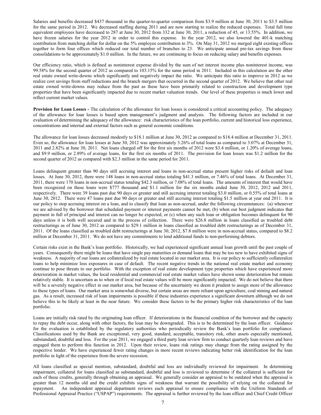Salaries and benefits decreased \$437 thousand in the quarter-to-quarter comparison from \$3.9 million at June 30, 2011 to \$3.5 million for the same period in 2012. We decreased staffing during 2011 and are now starting to realize the reduced expenses. Total full time equivalent employees have decreased to 287 at June 30, 2012 from 332 at June 30, 2011, a reduction of 45, or 13.55%. In addition, we have frozen salaries for the year 2012 in order to control this expense. In the year 2012, we also lowered the 401-k matching contribution from matching dollar for dollar on the 5% employee contribution to 3%. On May 31, 2012 we merged eight existing offices together to form four offices which reduced our total number of branches to 23. We anticipate annual pre-tax savings from these consolidations to be approximately \$1.0 million. In the future, we are continuing to focus on reducing salary and benefits expenses.

Our efficiency ratio, which is defined as noninterest expense divided by the sum of net interest income plus noninterest income, was 99.58% for the second quarter of 2012 as compared to 103.15% for the same period in 2011. Included in this calculation are the other real estate owned write-downs which significantly and negatively impact the ratio. We anticipate this ratio to improve in 2012 as we realize cost savings from staff reductions and the branch mergers that occurred in the second quarter of 2012. We believe that other real estate owned write-downs may reduce from the past as these have been primarily related to construction and development type properties that have been significantly impacted due to recent market valuation trends. Our level of these properties is much lower and reflect current market values.

**Provision for Loan Losses -** The calculation of the allowance for loan losses is considered a critical accounting policy. The adequacy of the allowance for loan losses is based upon management's judgment and analysis. The following factors are included in our evaluation of determining the adequacy of the allowance: risk characteristics of the loan portfolio, current and historical loss experience, concentrations and internal and external factors such as general economic conditions.

The allowance for loan losses decreased modestly to \$18.1 million at June 30, 2012 as compared to \$18.4 million at December 31, 2011. Even so, the allowance for loan losses at June 30, 2012 was approximately 3.26% of total loans as compared to 3.07% at December 31, 2011 and 2.82% at June 30, 2011. Net loans charged off for the first six months of 2012 were \$3.4 million, or 1.20% of average loans, and \$9.9 million, or 2.89% of average loans, for the first six months of 2011. The provision for loan losses was \$1.2 million for the second quarter of 2012 as compared with \$2.3 million in the same period for 2011.

Loans delinquent greater than 90 days still accruing interest and loans in non-accrual status present higher risks of default and loan losses. At June 30, 2012, there were 148 loans in non-accrual status totaling \$41.3 million, or 7.46% of total loans. At December 31, 2011, there were 170 loans in non-accrual status totaling \$42.3 million, or 7.08% of total loans. The amounts of interest that would have been recognized on these loans were \$777 thousand and \$1.1 million for the six months ended June 30, 2012, 2012 and 2011, respectively. There were 39 loans past due 90 days or greater and still accruing interest totaling \$3.0 million, or 0.55% of total loans at June 30, 2012. There were 47 loans past due 90 days or greater and still accruing interest totaling \$1.5 million at year end 2011. It is our policy to stop accruing interest on a loan, and to classify that loan as non-accrual, under the following circumstances: (a) whenever we are advised by the borrower that scheduled payment or interest payments cannot be met, (b) when our best judgment indicates that payment in full of principal and interest can no longer be expected, or (c) when any such loan or obligation becomes delinquent for 90 days unless it is both well secured and in the process of collection. There were \$26.8 million in loans classified as troubled debt restructurings as of June 30, 2012 as compared to \$29.1 million in loans classified as troubled debt restructurings as of December 31, 2011. Of the loans classified as troubled debt restructurings at June 30, 2012, \$7.8 million were in non-accrual status, compared to \$8.2 million at December 31, 2011. We do not have any commitments to lend additional funds to non-performing debtors.

Certain risks exist in the Bank's loan portfolio. Historically, we had experienced significant annual loan growth until the past couple of years. Consequently there might be loans that have single pay maturities or demand loans that may be too new to have exhibited signs of weakness. A majority of our loans are collateralized by real estate located in our market area. It is our policy to sufficiently collateralize loans to help minimize loss exposures in case of default. The recent negative trends in the national real estate market and economy continue to pose threats to our portfolio. With the exception of real estate development type properties which have experienced more deterioration in market values, the local residential and commercial real estate market values have shown some deterioration but remain relatively stable. It is uncertain as to when or if local real estate values will be more significantly impacted. We do not believe that there will be a severely negative effect in our market area, but because of the uncertainty we deem it prudent to assign more of the allowance to these types of loans. Our market area is somewhat diverse, but certain areas are more reliant upon agriculture, coal mining and natural gas. As a result, increased risk of loan impairments is possible if these industries experience a significant downturn although we do not believe this to be likely at least in the near future. We consider these factors to be the primary higher risk characteristics of the loan portfolio.

Loans are initially risk rated by the originating loan officer. If deteriorations in the financial condition of the borrower and the capacity to repay the debt occur, along with other factors, the loan may be downgraded. This is to be determined by the loan officer. Guidance for the evaluation is established by the regulatory authorities who periodically review the Bank's loan portfolio for compliance. Classifications used by the Bank are exceptional, very good, standard, acceptable, transitory risk, other assets especially mentioned, substandard, doubtful and loss. For the year 2011, we engaged a third party loan review firm to conduct quarterly loan reviews and have engaged them to perform this function in 2012. Upon their review, loans risk ratings may change from the rating assigned by the respective lender. We have experienced fewer rating changes in more recent reviews indicating better risk identification for the loan portfolio in light of the experience from the severe recession.

All loans classified as special mention, substandard, doubtful and loss are individually reviewed for impairment. In determining impairment, collateral for loans classified as substandard, doubtful and loss is reviewed to determine if the collateral is sufficient for each of these credits, generally through obtaining an appraisal. We generally consider an appraisal to be outdated when the appraisal is greater than 12 months old and the credit exhibits signs of weakness that warrant the possibility of relying on the collateral for repayment. An independent appraisal department reviews each appraisal to ensure compliance with the Uniform Standards of Professional Appraisal Practice ("USPAP") requirements. The appraisal is further reviewed by the loan officer and Chief Credit Officer